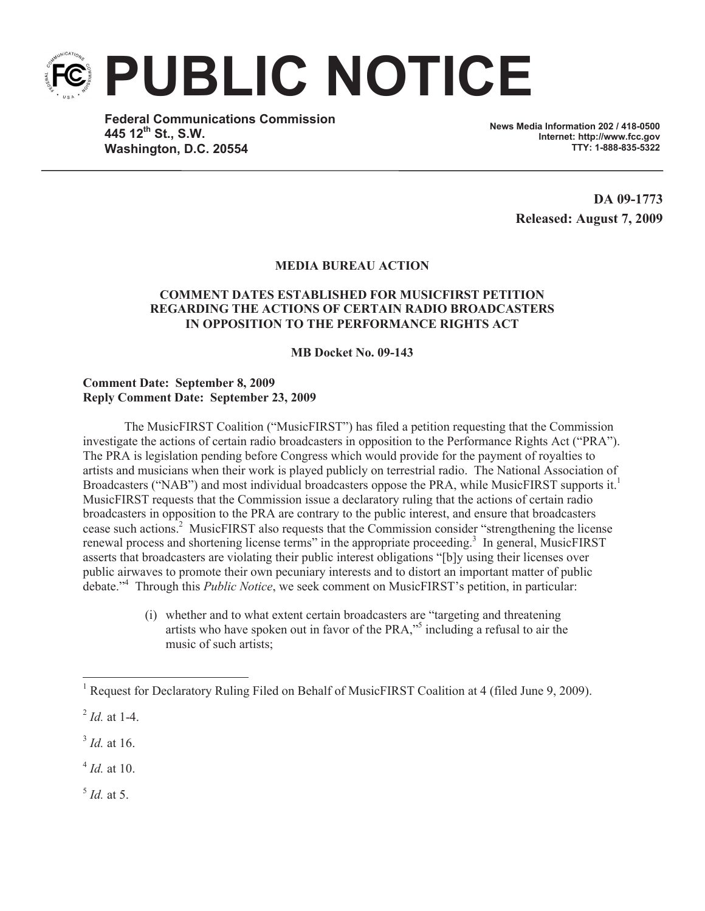**PUBLIC NOTICE**

**Federal Communications Commission 445 12th St., S.W. Washington, D.C. 20554**

**News Media Information 202 / 418-0500 Internet: http://www.fcc.gov TTY: 1-888-835-5322**

> **DA 09-1773 Released: August 7, 2009**

## **MEDIA BUREAU ACTION**

## **COMMENT DATES ESTABLISHED FOR MUSICFIRST PETITION REGARDING THE ACTIONS OF CERTAIN RADIO BROADCASTERS IN OPPOSITION TO THE PERFORMANCE RIGHTS ACT**

**MB Docket No. 09-143**

## **Comment Date: September 8, 2009 Reply Comment Date: September 23, 2009**

The MusicFIRST Coalition ("MusicFIRST") has filed a petition requesting that the Commission investigate the actions of certain radio broadcasters in opposition to the Performance Rights Act ("PRA"). The PRA is legislation pending before Congress which would provide for the payment of royalties to artists and musicians when their work is played publicly on terrestrial radio. The National Association of Broadcasters ("NAB") and most individual broadcasters oppose the PRA, while MusicFIRST supports it.<sup>1</sup> MusicFIRST requests that the Commission issue a declaratory ruling that the actions of certain radio broadcasters in opposition to the PRA are contrary to the public interest, and ensure that broadcasters cease such actions.<sup>2</sup> MusicFIRST also requests that the Commission consider "strengthening the license renewal process and shortening license terms" in the appropriate proceeding.<sup>3</sup> In general, MusicFIRST asserts that broadcasters are violating their public interest obligations "[b]y using their licenses over public airwaves to promote their own pecuniary interests and to distort an important matter of public debate."<sup>4</sup> Through this *Public Notice*, we seek comment on MusicFIRST's petition, in particular:

> (i) whether and to what extent certain broadcasters are "targeting and threatening artists who have spoken out in favor of the PRA,"<sup>5</sup> including a refusal to air the music of such artists;

<sup>&</sup>lt;sup>1</sup> Request for Declaratory Ruling Filed on Behalf of MusicFIRST Coalition at 4 (filed June 9, 2009).

<sup>2</sup> *Id.* at 1-4.

<sup>3</sup> *Id.* at 16.

<sup>4</sup> *Id.* at 10.

<sup>5</sup> *Id.* at 5.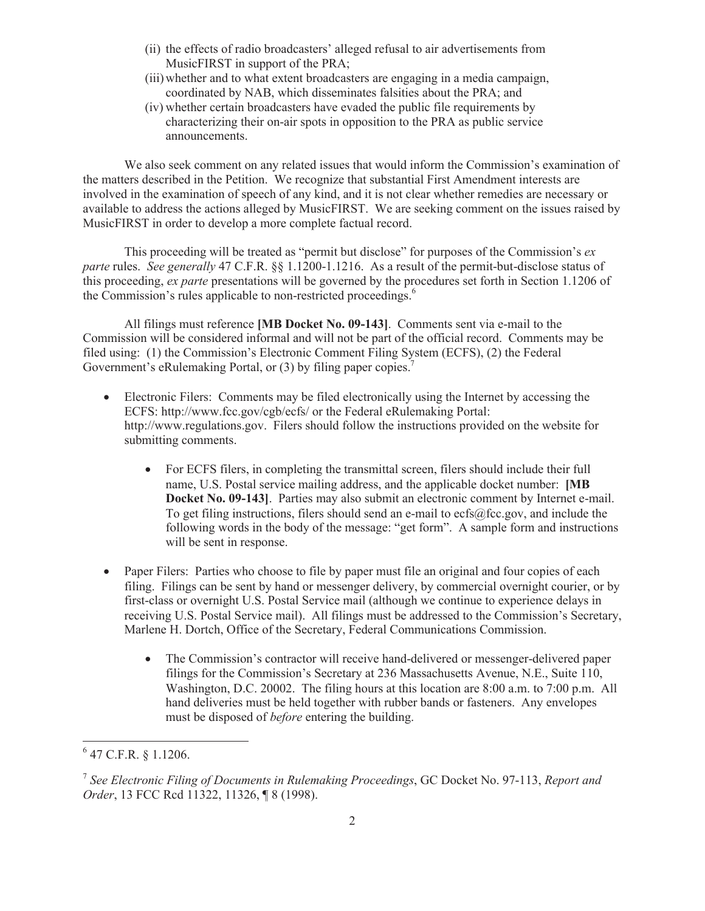- (ii) the effects of radio broadcasters' alleged refusal to air advertisements from MusicFIRST in support of the PRA;
- (iii)whether and to what extent broadcasters are engaging in a media campaign, coordinated by NAB, which disseminates falsities about the PRA; and
- (iv) whether certain broadcasters have evaded the public file requirements by characterizing their on-air spots in opposition to the PRA as public service announcements.

We also seek comment on any related issues that would inform the Commission's examination of the matters described in the Petition. We recognize that substantial First Amendment interests are involved in the examination of speech of any kind, and it is not clear whether remedies are necessary or available to address the actions alleged by MusicFIRST. We are seeking comment on the issues raised by MusicFIRST in order to develop a more complete factual record.

This proceeding will be treated as "permit but disclose" for purposes of the Commission's *ex parte* rules. *See generally* 47 C.F.R. §§ 1.1200-1.1216. As a result of the permit-but-disclose status of this proceeding, *ex parte* presentations will be governed by the procedures set forth in Section 1.1206 of the Commission's rules applicable to non-restricted proceedings.<sup>6</sup>

All filings must reference **[MB Docket No. 09-143]**. Comments sent via e-mail to the Commission will be considered informal and will not be part of the official record. Comments may be filed using: (1) the Commission's Electronic Comment Filing System (ECFS), (2) the Federal Government's eRulemaking Portal, or (3) by filing paper copies.<sup>7</sup>

- Electronic Filers: Comments may be filed electronically using the Internet by accessing the ECFS: http://www.fcc.gov/cgb/ecfs/ or the Federal eRulemaking Portal: http://www.regulations.gov. Filers should follow the instructions provided on the website for submitting comments.
	- For ECFS filers, in completing the transmittal screen, filers should include their full name, U.S. Postal service mailing address, and the applicable docket number: **[MB Docket No. 09-143]**. Parties may also submit an electronic comment by Internet e-mail. To get filing instructions, filers should send an e-mail to ecfs@fcc.gov, and include the following words in the body of the message: "get form". A sample form and instructions will be sent in response.
- Paper Filers: Parties who choose to file by paper must file an original and four copies of each filing. Filings can be sent by hand or messenger delivery, by commercial overnight courier, or by first-class or overnight U.S. Postal Service mail (although we continue to experience delays in receiving U.S. Postal Service mail). All filings must be addressed to the Commission's Secretary, Marlene H. Dortch, Office of the Secretary, Federal Communications Commission.
	- The Commission's contractor will receive hand-delivered or messenger-delivered paper filings for the Commission's Secretary at 236 Massachusetts Avenue, N.E., Suite 110, Washington, D.C. 20002. The filing hours at this location are 8:00 a.m. to 7:00 p.m. All hand deliveries must be held together with rubber bands or fasteners. Any envelopes must be disposed of *before* entering the building.

 $6$  47 C.F.R. § 1.1206.

<sup>7</sup> *See Electronic Filing of Documents in Rulemaking Proceedings*, GC Docket No. 97-113, *Report and Order*, 13 FCC Rcd 11322, 11326, ¶ 8 (1998).